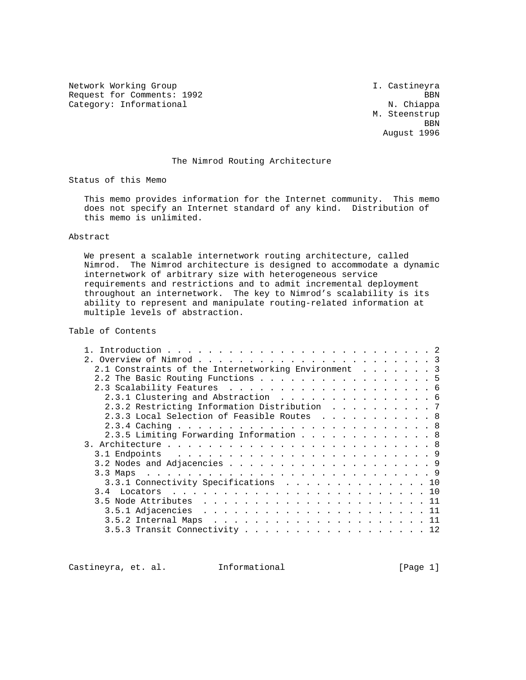Network Working Group and Month Castineyra I. Castineyra Request for Comments: 1992 BBN Category: Informational N. Chiappa

 M. Steenstrup **BBN** August 1996

# The Nimrod Routing Architecture

Status of this Memo

 This memo provides information for the Internet community. This memo does not specify an Internet standard of any kind. Distribution of this memo is unlimited.

## Abstract

 We present a scalable internetwork routing architecture, called Nimrod. The Nimrod architecture is designed to accommodate a dynamic internetwork of arbitrary size with heterogeneous service requirements and restrictions and to admit incremental deployment throughout an internetwork. The key to Nimrod's scalability is its ability to represent and manipulate routing-related information at multiple levels of abstraction.

# Table of Contents

| 2.1 Constraints of the Internetworking Environment 3 |  |
|------------------------------------------------------|--|
| 2.2 The Basic Routing Functions 5                    |  |
|                                                      |  |
| 2.3.1 Clustering and Abstraction 6                   |  |
| 2.3.2 Restricting Information Distribution 7         |  |
| 2.3.3 Local Selection of Feasible Routes 8           |  |
|                                                      |  |
| 2.3.5 Limiting Forwarding Information 8              |  |
|                                                      |  |
|                                                      |  |
|                                                      |  |
|                                                      |  |
| 3.3.1 Connectivity Specifications 10                 |  |
|                                                      |  |
|                                                      |  |
|                                                      |  |
|                                                      |  |
| $3.5.3$ Transit Connectivity 12                      |  |
|                                                      |  |

Castineyra, et. al. Informational [Page 1]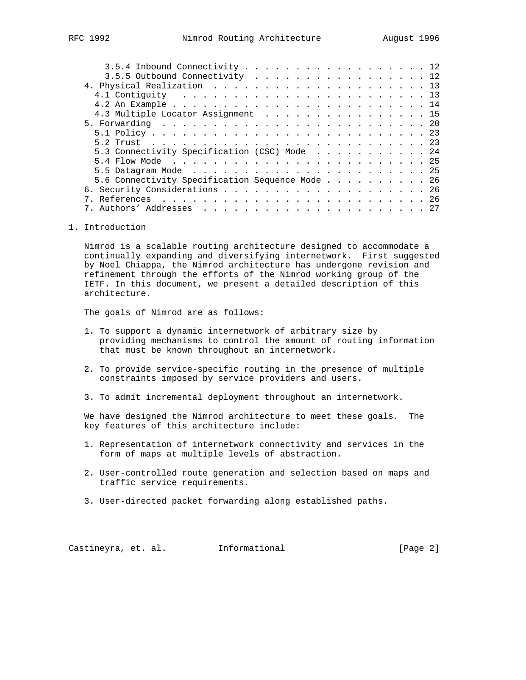| $3.5.4$ Inbound Connectivity 12                 |  |
|-------------------------------------------------|--|
| 3.5.5 Outbound Connectivity 12                  |  |
|                                                 |  |
|                                                 |  |
|                                                 |  |
| 4.3 Multiple Locator Assignment 15              |  |
|                                                 |  |
|                                                 |  |
|                                                 |  |
| 5.3 Connectivity Specification (CSC) Mode 24    |  |
|                                                 |  |
|                                                 |  |
| 5.6 Connectivity Specification Sequence Mode 26 |  |
|                                                 |  |
|                                                 |  |
|                                                 |  |
|                                                 |  |

1. Introduction

 Nimrod is a scalable routing architecture designed to accommodate a continually expanding and diversifying internetwork. First suggested by Noel Chiappa, the Nimrod architecture has undergone revision and refinement through the efforts of the Nimrod working group of the IETF. In this document, we present a detailed description of this architecture.

The goals of Nimrod are as follows:

- 1. To support a dynamic internetwork of arbitrary size by providing mechanisms to control the amount of routing information that must be known throughout an internetwork.
- 2. To provide service-specific routing in the presence of multiple constraints imposed by service providers and users.
- 3. To admit incremental deployment throughout an internetwork.

 We have designed the Nimrod architecture to meet these goals. The key features of this architecture include:

- 1. Representation of internetwork connectivity and services in the form of maps at multiple levels of abstraction.
- 2. User-controlled route generation and selection based on maps and traffic service requirements.
- 3. User-directed packet forwarding along established paths.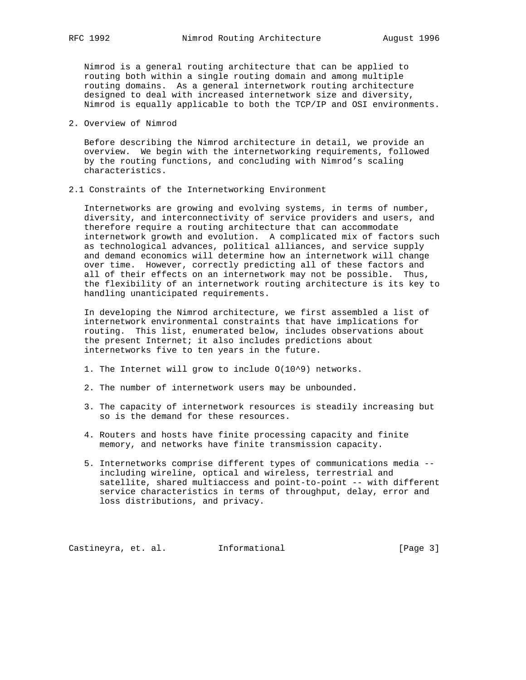Nimrod is a general routing architecture that can be applied to routing both within a single routing domain and among multiple routing domains. As a general internetwork routing architecture designed to deal with increased internetwork size and diversity, Nimrod is equally applicable to both the TCP/IP and OSI environments.

2. Overview of Nimrod

 Before describing the Nimrod architecture in detail, we provide an overview. We begin with the internetworking requirements, followed by the routing functions, and concluding with Nimrod's scaling characteristics.

2.1 Constraints of the Internetworking Environment

 Internetworks are growing and evolving systems, in terms of number, diversity, and interconnectivity of service providers and users, and therefore require a routing architecture that can accommodate internetwork growth and evolution. A complicated mix of factors such as technological advances, political alliances, and service supply and demand economics will determine how an internetwork will change over time. However, correctly predicting all of these factors and all of their effects on an internetwork may not be possible. Thus, the flexibility of an internetwork routing architecture is its key to handling unanticipated requirements.

 In developing the Nimrod architecture, we first assembled a list of internetwork environmental constraints that have implications for routing. This list, enumerated below, includes observations about the present Internet; it also includes predictions about internetworks five to ten years in the future.

- 1. The Internet will grow to include O(10^9) networks.
- 2. The number of internetwork users may be unbounded.
- 3. The capacity of internetwork resources is steadily increasing but so is the demand for these resources.
- 4. Routers and hosts have finite processing capacity and finite memory, and networks have finite transmission capacity.
- 5. Internetworks comprise different types of communications media including wireline, optical and wireless, terrestrial and satellite, shared multiaccess and point-to-point -- with different service characteristics in terms of throughput, delay, error and loss distributions, and privacy.

Castineyra, et. al. Informational [Page 3]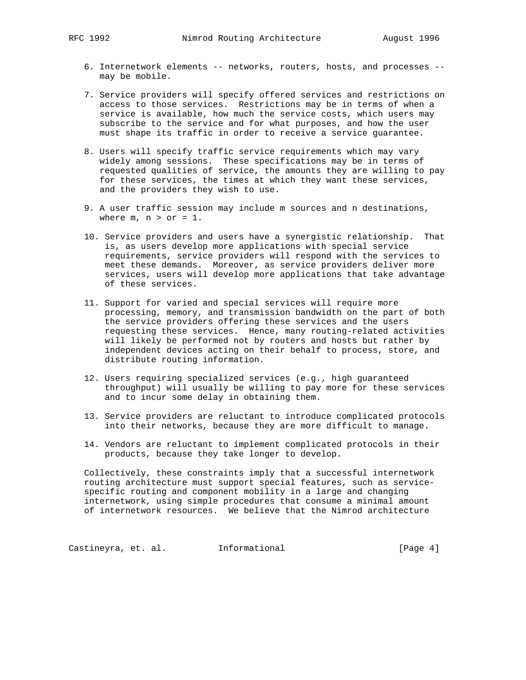- 6. Internetwork elements -- networks, routers, hosts, and processes may be mobile.
- 7. Service providers will specify offered services and restrictions on access to those services. Restrictions may be in terms of when a service is available, how much the service costs, which users may subscribe to the service and for what purposes, and how the user must shape its traffic in order to receive a service guarantee.
- 8. Users will specify traffic service requirements which may vary widely among sessions. These specifications may be in terms of requested qualities of service, the amounts they are willing to pay for these services, the times at which they want these services, and the providers they wish to use.
- 9. A user traffic session may include m sources and n destinations, where  $m, n > or = 1$ .
- 10. Service providers and users have a synergistic relationship. That is, as users develop more applications with special service requirements, service providers will respond with the services to meet these demands. Moreover, as service providers deliver more services, users will develop more applications that take advantage of these services.
- 11. Support for varied and special services will require more processing, memory, and transmission bandwidth on the part of both the service providers offering these services and the users requesting these services. Hence, many routing-related activities will likely be performed not by routers and hosts but rather by independent devices acting on their behalf to process, store, and distribute routing information.
- 12. Users requiring specialized services (e.g., high guaranteed throughput) will usually be willing to pay more for these services and to incur some delay in obtaining them.
- 13. Service providers are reluctant to introduce complicated protocols into their networks, because they are more difficult to manage.
- 14. Vendors are reluctant to implement complicated protocols in their products, because they take longer to develop.

 Collectively, these constraints imply that a successful internetwork routing architecture must support special features, such as service specific routing and component mobility in a large and changing internetwork, using simple procedures that consume a minimal amount of internetwork resources. We believe that the Nimrod architecture

Castineyra, et. al. 1nformational 1999 [Page 4]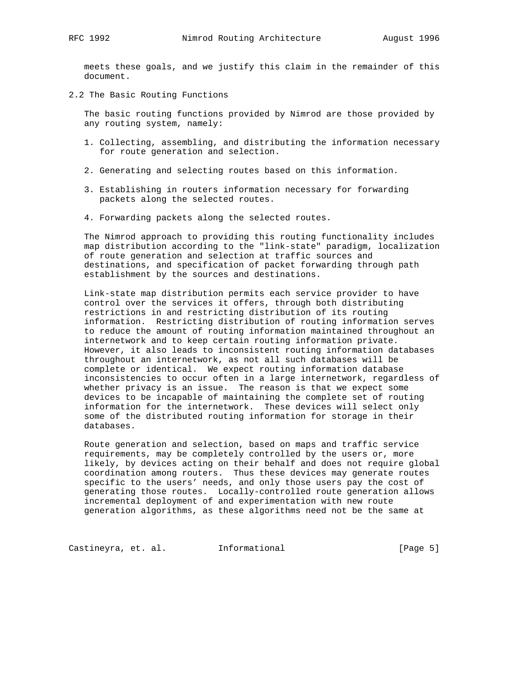meets these goals, and we justify this claim in the remainder of this document.

2.2 The Basic Routing Functions

 The basic routing functions provided by Nimrod are those provided by any routing system, namely:

- 1. Collecting, assembling, and distributing the information necessary for route generation and selection.
- 2. Generating and selecting routes based on this information.
- 3. Establishing in routers information necessary for forwarding packets along the selected routes.
- 4. Forwarding packets along the selected routes.

 The Nimrod approach to providing this routing functionality includes map distribution according to the "link-state" paradigm, localization of route generation and selection at traffic sources and destinations, and specification of packet forwarding through path establishment by the sources and destinations.

 Link-state map distribution permits each service provider to have control over the services it offers, through both distributing restrictions in and restricting distribution of its routing information. Restricting distribution of routing information serves to reduce the amount of routing information maintained throughout an internetwork and to keep certain routing information private. However, it also leads to inconsistent routing information databases throughout an internetwork, as not all such databases will be complete or identical. We expect routing information database inconsistencies to occur often in a large internetwork, regardless of whether privacy is an issue. The reason is that we expect some devices to be incapable of maintaining the complete set of routing information for the internetwork. These devices will select only some of the distributed routing information for storage in their databases.

 Route generation and selection, based on maps and traffic service requirements, may be completely controlled by the users or, more likely, by devices acting on their behalf and does not require global coordination among routers. Thus these devices may generate routes specific to the users' needs, and only those users pay the cost of generating those routes. Locally-controlled route generation allows incremental deployment of and experimentation with new route generation algorithms, as these algorithms need not be the same at

Castineyra, et. al. 1nformational 1999 [Page 5]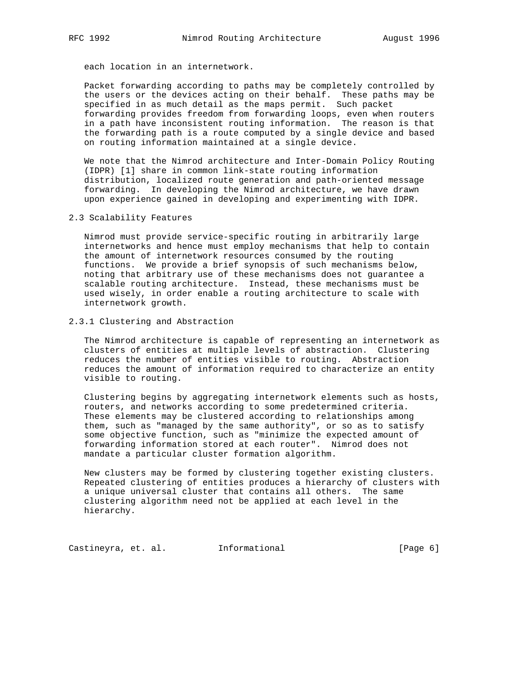each location in an internetwork.

 Packet forwarding according to paths may be completely controlled by the users or the devices acting on their behalf. These paths may be specified in as much detail as the maps permit. Such packet forwarding provides freedom from forwarding loops, even when routers in a path have inconsistent routing information. The reason is that the forwarding path is a route computed by a single device and based on routing information maintained at a single device.

 We note that the Nimrod architecture and Inter-Domain Policy Routing (IDPR) [1] share in common link-state routing information distribution, localized route generation and path-oriented message forwarding. In developing the Nimrod architecture, we have drawn upon experience gained in developing and experimenting with IDPR.

2.3 Scalability Features

 Nimrod must provide service-specific routing in arbitrarily large internetworks and hence must employ mechanisms that help to contain the amount of internetwork resources consumed by the routing functions. We provide a brief synopsis of such mechanisms below, noting that arbitrary use of these mechanisms does not guarantee a scalable routing architecture. Instead, these mechanisms must be used wisely, in order enable a routing architecture to scale with internetwork growth.

2.3.1 Clustering and Abstraction

 The Nimrod architecture is capable of representing an internetwork as clusters of entities at multiple levels of abstraction. Clustering reduces the number of entities visible to routing. Abstraction reduces the amount of information required to characterize an entity visible to routing.

 Clustering begins by aggregating internetwork elements such as hosts, routers, and networks according to some predetermined criteria. These elements may be clustered according to relationships among them, such as "managed by the same authority", or so as to satisfy some objective function, such as "minimize the expected amount of forwarding information stored at each router". Nimrod does not mandate a particular cluster formation algorithm.

 New clusters may be formed by clustering together existing clusters. Repeated clustering of entities produces a hierarchy of clusters with a unique universal cluster that contains all others. The same clustering algorithm need not be applied at each level in the hierarchy.

Castineyra, et. al. 1nformational 1999 [Page 6]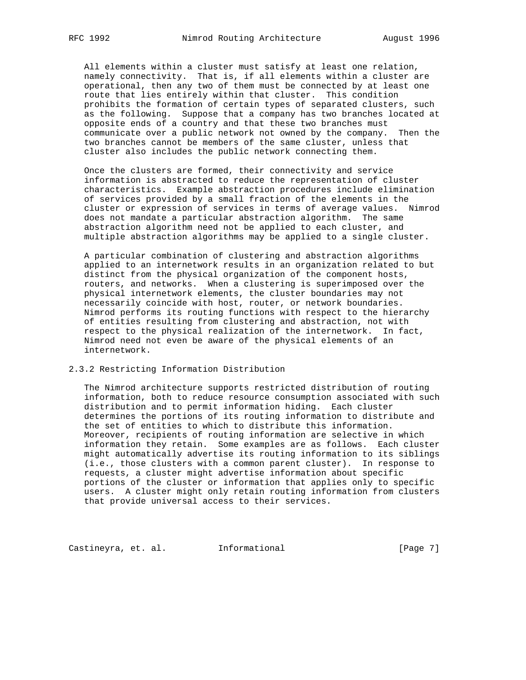All elements within a cluster must satisfy at least one relation, namely connectivity. That is, if all elements within a cluster are operational, then any two of them must be connected by at least one route that lies entirely within that cluster. This condition prohibits the formation of certain types of separated clusters, such as the following. Suppose that a company has two branches located at opposite ends of a country and that these two branches must communicate over a public network not owned by the company. Then the two branches cannot be members of the same cluster, unless that cluster also includes the public network connecting them.

 Once the clusters are formed, their connectivity and service information is abstracted to reduce the representation of cluster characteristics. Example abstraction procedures include elimination of services provided by a small fraction of the elements in the cluster or expression of services in terms of average values. Nimrod does not mandate a particular abstraction algorithm. The same abstraction algorithm need not be applied to each cluster, and multiple abstraction algorithms may be applied to a single cluster.

 A particular combination of clustering and abstraction algorithms applied to an internetwork results in an organization related to but distinct from the physical organization of the component hosts, routers, and networks. When a clustering is superimposed over the physical internetwork elements, the cluster boundaries may not necessarily coincide with host, router, or network boundaries. Nimrod performs its routing functions with respect to the hierarchy of entities resulting from clustering and abstraction, not with respect to the physical realization of the internetwork. In fact, Nimrod need not even be aware of the physical elements of an internetwork.

## 2.3.2 Restricting Information Distribution

 The Nimrod architecture supports restricted distribution of routing information, both to reduce resource consumption associated with such distribution and to permit information hiding. Each cluster determines the portions of its routing information to distribute and the set of entities to which to distribute this information. Moreover, recipients of routing information are selective in which information they retain. Some examples are as follows. Each cluster might automatically advertise its routing information to its siblings (i.e., those clusters with a common parent cluster). In response to requests, a cluster might advertise information about specific portions of the cluster or information that applies only to specific users. A cluster might only retain routing information from clusters that provide universal access to their services.

Castineyra, et. al. 1nformational 1999 [Page 7]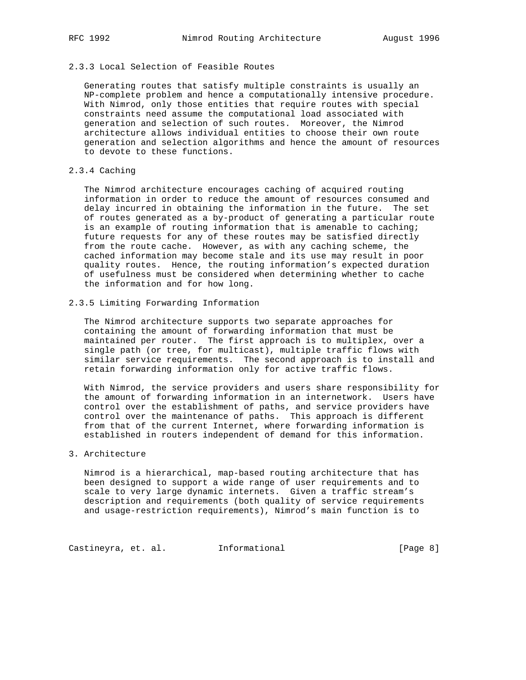# 2.3.3 Local Selection of Feasible Routes

 Generating routes that satisfy multiple constraints is usually an NP-complete problem and hence a computationally intensive procedure. With Nimrod, only those entities that require routes with special constraints need assume the computational load associated with generation and selection of such routes. Moreover, the Nimrod architecture allows individual entities to choose their own route generation and selection algorithms and hence the amount of resources to devote to these functions.

## 2.3.4 Caching

 The Nimrod architecture encourages caching of acquired routing information in order to reduce the amount of resources consumed and delay incurred in obtaining the information in the future. The set of routes generated as a by-product of generating a particular route is an example of routing information that is amenable to caching; future requests for any of these routes may be satisfied directly from the route cache. However, as with any caching scheme, the cached information may become stale and its use may result in poor quality routes. Hence, the routing information's expected duration of usefulness must be considered when determining whether to cache the information and for how long.

## 2.3.5 Limiting Forwarding Information

 The Nimrod architecture supports two separate approaches for containing the amount of forwarding information that must be maintained per router. The first approach is to multiplex, over a single path (or tree, for multicast), multiple traffic flows with similar service requirements. The second approach is to install and retain forwarding information only for active traffic flows.

 With Nimrod, the service providers and users share responsibility for the amount of forwarding information in an internetwork. Users have control over the establishment of paths, and service providers have control over the maintenance of paths. This approach is different from that of the current Internet, where forwarding information is established in routers independent of demand for this information.

## 3. Architecture

 Nimrod is a hierarchical, map-based routing architecture that has been designed to support a wide range of user requirements and to scale to very large dynamic internets. Given a traffic stream's description and requirements (both quality of service requirements and usage-restriction requirements), Nimrod's main function is to

Castineyra, et. al. 1nformational 1999 [Page 8]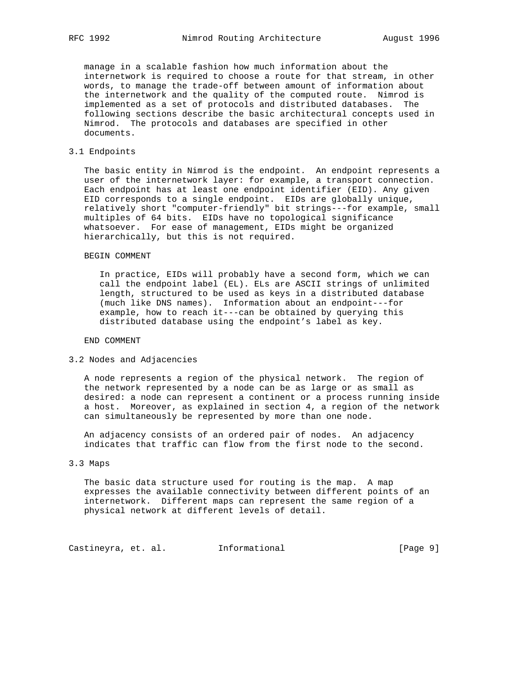manage in a scalable fashion how much information about the internetwork is required to choose a route for that stream, in other words, to manage the trade-off between amount of information about the internetwork and the quality of the computed route. Nimrod is implemented as a set of protocols and distributed databases. The following sections describe the basic architectural concepts used in Nimrod. The protocols and databases are specified in other documents.

## 3.1 Endpoints

 The basic entity in Nimrod is the endpoint. An endpoint represents a user of the internetwork layer: for example, a transport connection. Each endpoint has at least one endpoint identifier (EID). Any given EID corresponds to a single endpoint. EIDs are globally unique, relatively short "computer-friendly" bit strings---for example, small multiples of 64 bits. EIDs have no topological significance whatsoever. For ease of management, EIDs might be organized hierarchically, but this is not required.

#### BEGIN COMMENT

 In practice, EIDs will probably have a second form, which we can call the endpoint label (EL). ELs are ASCII strings of unlimited length, structured to be used as keys in a distributed database (much like DNS names). Information about an endpoint---for example, how to reach it---can be obtained by querying this distributed database using the endpoint's label as key.

END COMMENT

3.2 Nodes and Adjacencies

 A node represents a region of the physical network. The region of the network represented by a node can be as large or as small as desired: a node can represent a continent or a process running inside a host. Moreover, as explained in section 4, a region of the network can simultaneously be represented by more than one node.

 An adjacency consists of an ordered pair of nodes. An adjacency indicates that traffic can flow from the first node to the second.

#### 3.3 Maps

 The basic data structure used for routing is the map. A map expresses the available connectivity between different points of an internetwork. Different maps can represent the same region of a physical network at different levels of detail.

Castineyra, et. al. 1nformational 1999 [Page 9]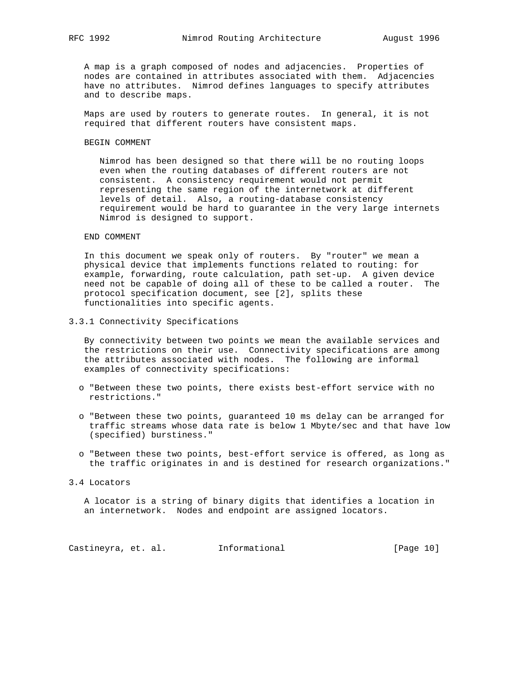A map is a graph composed of nodes and adjacencies. Properties of nodes are contained in attributes associated with them. Adjacencies have no attributes. Nimrod defines languages to specify attributes and to describe maps.

 Maps are used by routers to generate routes. In general, it is not required that different routers have consistent maps.

#### BEGIN COMMENT

 Nimrod has been designed so that there will be no routing loops even when the routing databases of different routers are not consistent. A consistency requirement would not permit representing the same region of the internetwork at different levels of detail. Also, a routing-database consistency requirement would be hard to guarantee in the very large internets Nimrod is designed to support.

## END COMMENT

 In this document we speak only of routers. By "router" we mean a physical device that implements functions related to routing: for example, forwarding, route calculation, path set-up. A given device need not be capable of doing all of these to be called a router. The protocol specification document, see [2], splits these functionalities into specific agents.

3.3.1 Connectivity Specifications

 By connectivity between two points we mean the available services and the restrictions on their use. Connectivity specifications are among the attributes associated with nodes. The following are informal examples of connectivity specifications:

- o "Between these two points, there exists best-effort service with no restrictions."
- o "Between these two points, guaranteed 10 ms delay can be arranged for traffic streams whose data rate is below 1 Mbyte/sec and that have low (specified) burstiness."
- o "Between these two points, best-effort service is offered, as long as the traffic originates in and is destined for research organizations."

#### 3.4 Locators

 A locator is a string of binary digits that identifies a location in an internetwork. Nodes and endpoint are assigned locators.

Castineyra, et. al. 1nformational [Page 10]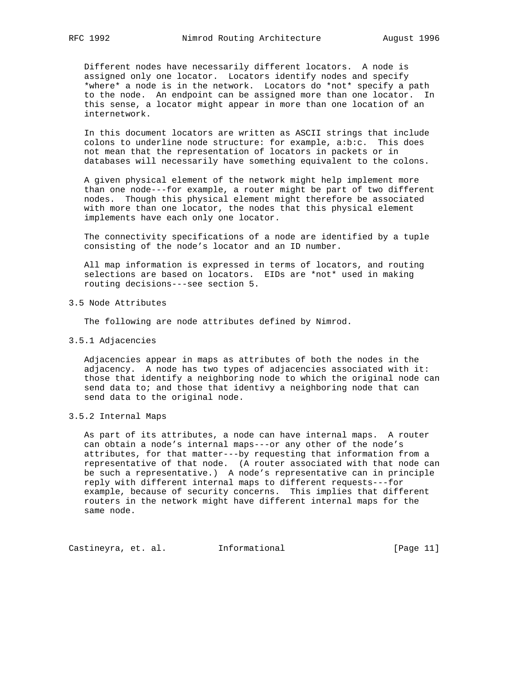Different nodes have necessarily different locators. A node is assigned only one locator. Locators identify nodes and specify \*where\* a node is in the network. Locators do \*not\* specify a path to the node. An endpoint can be assigned more than one locator. In this sense, a locator might appear in more than one location of an internetwork.

 In this document locators are written as ASCII strings that include colons to underline node structure: for example, a:b:c. This does not mean that the representation of locators in packets or in databases will necessarily have something equivalent to the colons.

 A given physical element of the network might help implement more than one node---for example, a router might be part of two different nodes. Though this physical element might therefore be associated with more than one locator, the nodes that this physical element implements have each only one locator.

 The connectivity specifications of a node are identified by a tuple consisting of the node's locator and an ID number.

 All map information is expressed in terms of locators, and routing selections are based on locators. EIDs are \*not\* used in making routing decisions---see section 5.

3.5 Node Attributes

The following are node attributes defined by Nimrod.

3.5.1 Adjacencies

 Adjacencies appear in maps as attributes of both the nodes in the adjacency. A node has two types of adjacencies associated with it: those that identify a neighboring node to which the original node can send data to; and those that identivy a neighboring node that can send data to the original node.

3.5.2 Internal Maps

 As part of its attributes, a node can have internal maps. A router can obtain a node's internal maps---or any other of the node's attributes, for that matter---by requesting that information from a representative of that node. (A router associated with that node can be such a representative.) A node's representative can in principle reply with different internal maps to different requests---for example, because of security concerns. This implies that different routers in the network might have different internal maps for the same node.

Castineyra, et. al. 1nformational 1999 [Page 11]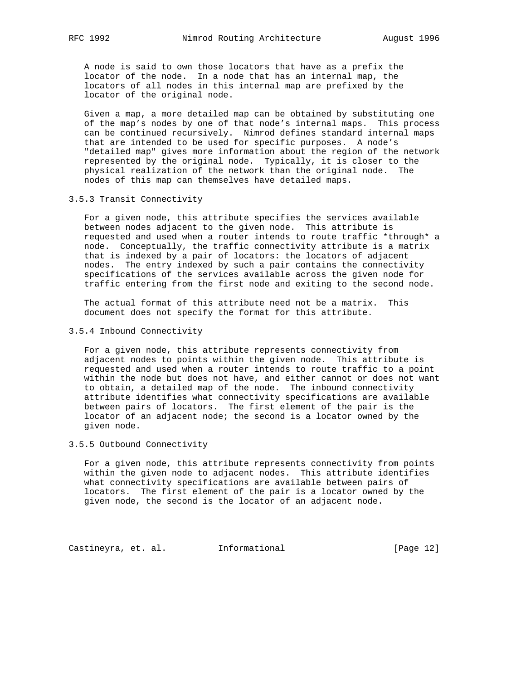A node is said to own those locators that have as a prefix the locator of the node. In a node that has an internal map, the locators of all nodes in this internal map are prefixed by the locator of the original node.

 Given a map, a more detailed map can be obtained by substituting one of the map's nodes by one of that node's internal maps. This process can be continued recursively. Nimrod defines standard internal maps that are intended to be used for specific purposes. A node's "detailed map" gives more information about the region of the network represented by the original node. Typically, it is closer to the physical realization of the network than the original node. The nodes of this map can themselves have detailed maps.

3.5.3 Transit Connectivity

 For a given node, this attribute specifies the services available between nodes adjacent to the given node. This attribute is requested and used when a router intends to route traffic \*through\* a node. Conceptually, the traffic connectivity attribute is a matrix that is indexed by a pair of locators: the locators of adjacent nodes. The entry indexed by such a pair contains the connectivity specifications of the services available across the given node for traffic entering from the first node and exiting to the second node.

 The actual format of this attribute need not be a matrix. This document does not specify the format for this attribute.

3.5.4 Inbound Connectivity

 For a given node, this attribute represents connectivity from adjacent nodes to points within the given node. This attribute is requested and used when a router intends to route traffic to a point within the node but does not have, and either cannot or does not want to obtain, a detailed map of the node. The inbound connectivity attribute identifies what connectivity specifications are available between pairs of locators. The first element of the pair is the locator of an adjacent node; the second is a locator owned by the given node.

3.5.5 Outbound Connectivity

 For a given node, this attribute represents connectivity from points within the given node to adjacent nodes. This attribute identifies what connectivity specifications are available between pairs of locators. The first element of the pair is a locator owned by the given node, the second is the locator of an adjacent node.

Castineyra, et. al. Informational [Page 12]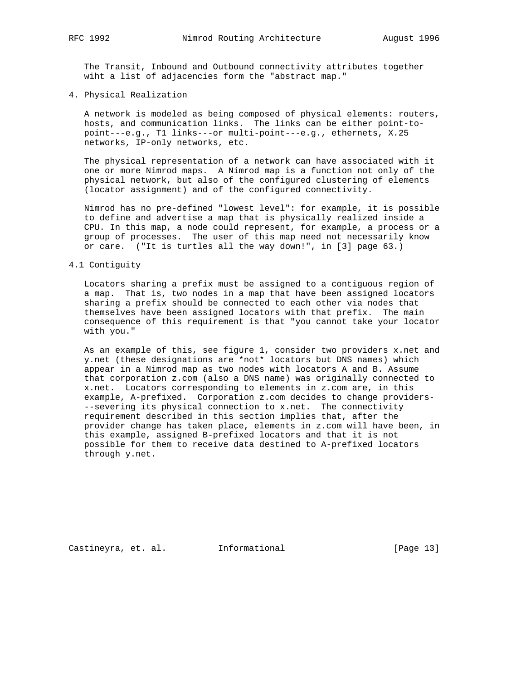The Transit, Inbound and Outbound connectivity attributes together wiht a list of adjacencies form the "abstract map."

4. Physical Realization

 A network is modeled as being composed of physical elements: routers, hosts, and communication links. The links can be either point-to point---e.g., T1 links---or multi-point---e.g., ethernets, X.25 networks, IP-only networks, etc.

 The physical representation of a network can have associated with it one or more Nimrod maps. A Nimrod map is a function not only of the physical network, but also of the configured clustering of elements (locator assignment) and of the configured connectivity.

 Nimrod has no pre-defined "lowest level": for example, it is possible to define and advertise a map that is physically realized inside a CPU. In this map, a node could represent, for example, a process or a group of processes. The user of this map need not necessarily know or care. ("It is turtles all the way down!", in [3] page 63.)

#### 4.1 Contiguity

 Locators sharing a prefix must be assigned to a contiguous region of a map. That is, two nodes in a map that have been assigned locators sharing a prefix should be connected to each other via nodes that themselves have been assigned locators with that prefix. The main consequence of this requirement is that "you cannot take your locator with you."

 As an example of this, see figure 1, consider two providers x.net and y.net (these designations are \*not\* locators but DNS names) which appear in a Nimrod map as two nodes with locators A and B. Assume that corporation z.com (also a DNS name) was originally connected to x.net. Locators corresponding to elements in z.com are, in this example, A-prefixed. Corporation z.com decides to change providers- --severing its physical connection to x.net. The connectivity requirement described in this section implies that, after the provider change has taken place, elements in z.com will have been, in this example, assigned B-prefixed locators and that it is not possible for them to receive data destined to A-prefixed locators through y.net.

Castineyra, et. al. Informational [Page 13]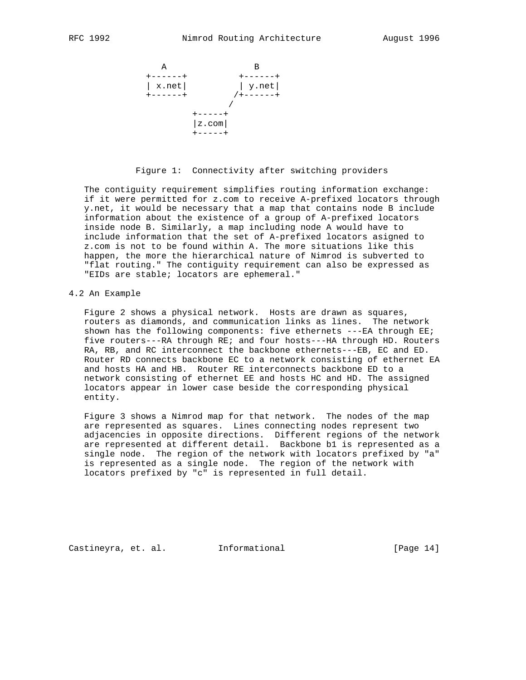

## Figure 1: Connectivity after switching providers

 The contiguity requirement simplifies routing information exchange: if it were permitted for z.com to receive A-prefixed locators through y.net, it would be necessary that a map that contains node B include information about the existence of a group of A-prefixed locators inside node B. Similarly, a map including node A would have to include information that the set of A-prefixed locators asigned to z.com is not to be found within A. The more situations like this happen, the more the hierarchical nature of Nimrod is subverted to "flat routing." The contiguity requirement can also be expressed as "EIDs are stable; locators are ephemeral."

## 4.2 An Example

 Figure 2 shows a physical network. Hosts are drawn as squares, routers as diamonds, and communication links as lines. The network shown has the following components: five ethernets  $---EA$  through  $EE$ ; five routers---RA through RE; and four hosts---HA through HD. Routers RA, RB, and RC interconnect the backbone ethernets---EB, EC and ED. Router RD connects backbone EC to a network consisting of ethernet EA and hosts HA and HB. Router RE interconnects backbone ED to a network consisting of ethernet EE and hosts HC and HD. The assigned locators appear in lower case beside the corresponding physical entity.

 Figure 3 shows a Nimrod map for that network. The nodes of the map are represented as squares. Lines connecting nodes represent two adjacencies in opposite directions. Different regions of the network are represented at different detail. Backbone b1 is represented as a single node. The region of the network with locators prefixed by "a" is represented as a single node. The region of the network with locators prefixed by "c" is represented in full detail.

Castineyra, et. al. Informational [Page 14]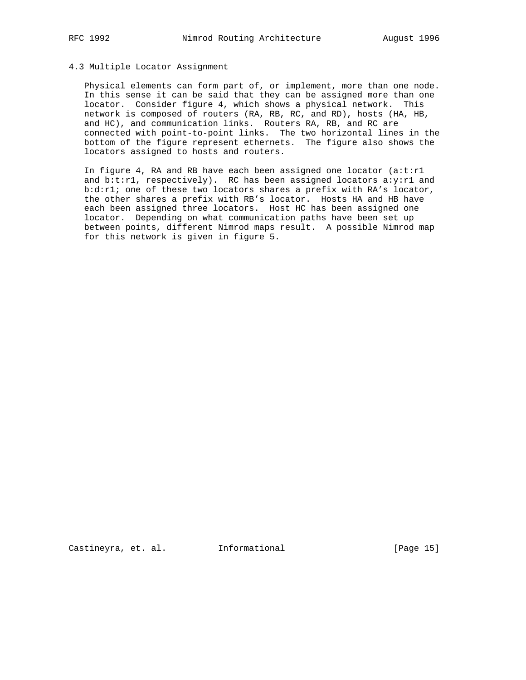# 4.3 Multiple Locator Assignment

 Physical elements can form part of, or implement, more than one node. In this sense it can be said that they can be assigned more than one locator. Consider figure 4, which shows a physical network. This network is composed of routers (RA, RB, RC, and RD), hosts (HA, HB, and HC), and communication links. Routers RA, RB, and RC are connected with point-to-point links. The two horizontal lines in the bottom of the figure represent ethernets. The figure also shows the locators assigned to hosts and routers.

In figure 4, RA and RB have each been assigned one locator  $(a:t:r1)$  and b:t:r1, respectively). RC has been assigned locators a:y:r1 and b:d:r1; one of these two locators shares a prefix with RA's locator, the other shares a prefix with RB's locator. Hosts HA and HB have each been assigned three locators. Host HC has been assigned one locator. Depending on what communication paths have been set up between points, different Nimrod maps result. A possible Nimrod map for this network is given in figure 5.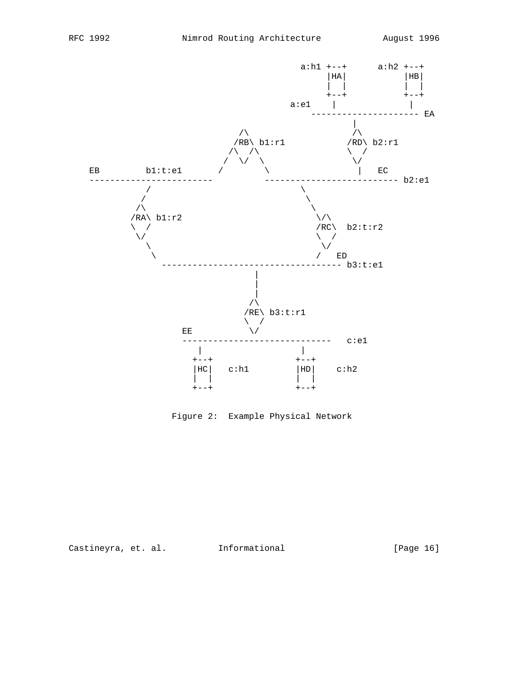

Figure 2: Example Physical Network

Castineyra, et. al. 1nformational 1999 [Page 16]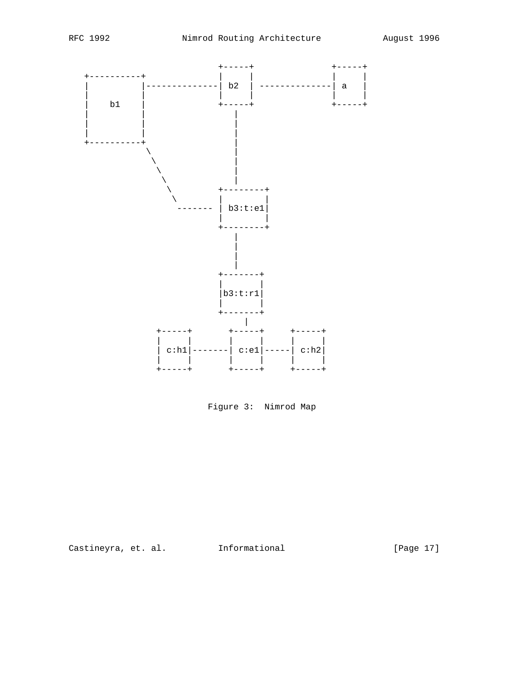

Figure 3: Nimrod Map

Castineyra, et. al. 1nformational 1999 [Page 17]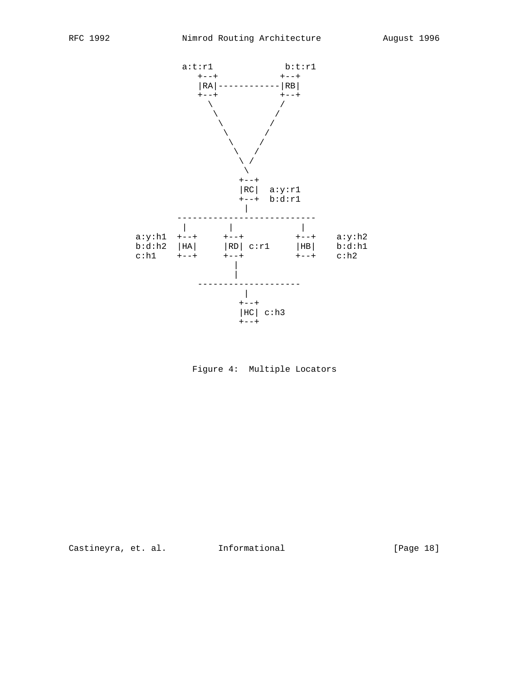

Figure 4: Multiple Locators

Castineyra, et. al. 1nformational [Page 18]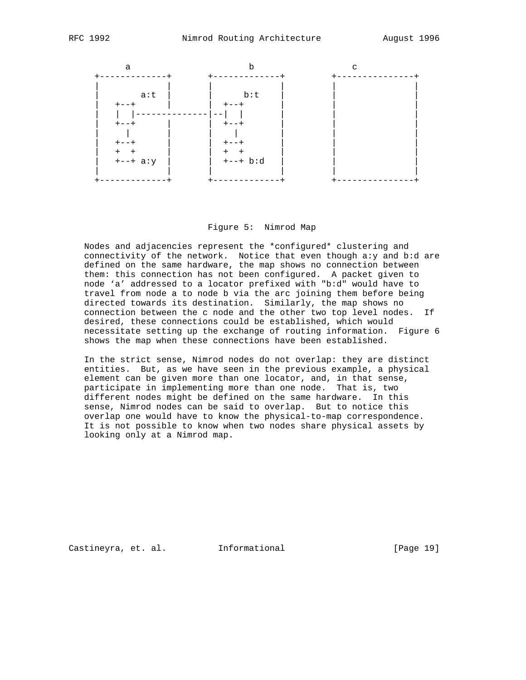

#### Figure 5: Nimrod Map

 Nodes and adjacencies represent the \*configured\* clustering and connectivity of the network. Notice that even though a:y and b:d are defined on the same hardware, the map shows no connection between them: this connection has not been configured. A packet given to node 'a' addressed to a locator prefixed with "b:d" would have to travel from node a to node b via the arc joining them before being directed towards its destination. Similarly, the map shows no connection between the c node and the other two top level nodes. If desired, these connections could be established, which would necessitate setting up the exchange of routing information. Figure 6 shows the map when these connections have been established.

 In the strict sense, Nimrod nodes do not overlap: they are distinct entities. But, as we have seen in the previous example, a physical element can be given more than one locator, and, in that sense, participate in implementing more than one node. That is, two different nodes might be defined on the same hardware. In this sense, Nimrod nodes can be said to overlap. But to notice this overlap one would have to know the physical-to-map correspondence. It is not possible to know when two nodes share physical assets by looking only at a Nimrod map.

Castineyra, et. al. 1nformational 1917 [Page 19]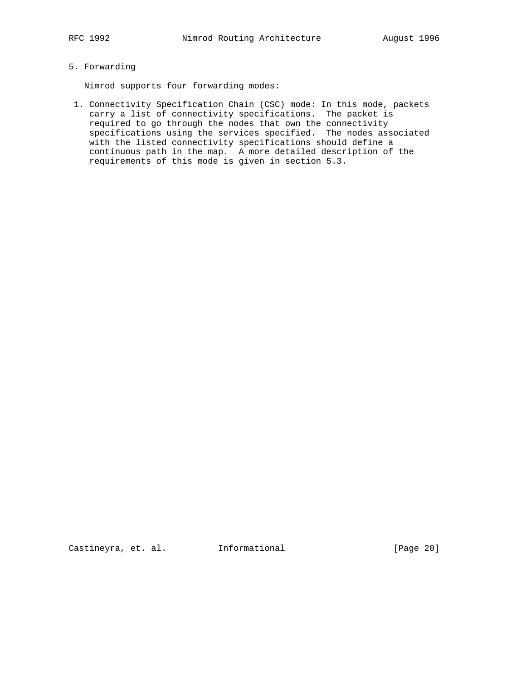# 5. Forwarding

Nimrod supports four forwarding modes:

 1. Connectivity Specification Chain (CSC) mode: In this mode, packets carry a list of connectivity specifications. The packet is required to go through the nodes that own the connectivity specifications using the services specified. The nodes associated with the listed connectivity specifications should define a continuous path in the map. A more detailed description of the requirements of this mode is given in section 5.3.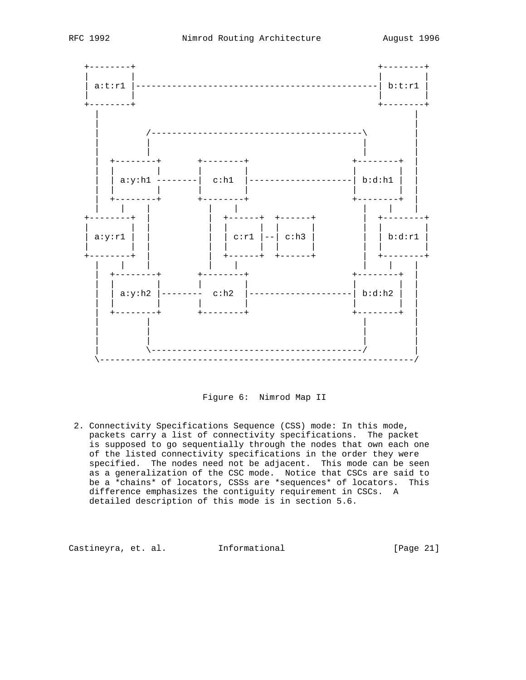

Figure 6: Nimrod Map II

 2. Connectivity Specifications Sequence (CSS) mode: In this mode, packets carry a list of connectivity specifications. The packet is supposed to go sequentially through the nodes that own each one of the listed connectivity specifications in the order they were specified. The nodes need not be adjacent. This mode can be seen as a generalization of the CSC mode. Notice that CSCs are said to be a \*chains\* of locators, CSSs are \*sequences\* of locators. This difference emphasizes the contiguity requirement in CSCs. A detailed description of this mode is in section 5.6.

Castineyra, et. al. Informational [Page 21]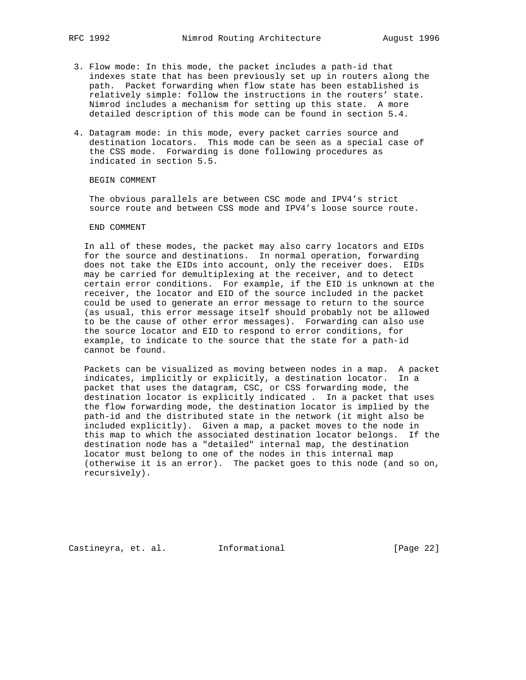- 3. Flow mode: In this mode, the packet includes a path-id that indexes state that has been previously set up in routers along the path. Packet forwarding when flow state has been established is relatively simple: follow the instructions in the routers' state. Nimrod includes a mechanism for setting up this state. A more detailed description of this mode can be found in section 5.4.
- 4. Datagram mode: in this mode, every packet carries source and destination locators. This mode can be seen as a special case of the CSS mode. Forwarding is done following procedures as indicated in section 5.5.

BEGIN COMMENT

 The obvious parallels are between CSC mode and IPV4's strict source route and between CSS mode and IPV4's loose source route.

#### END COMMENT

 In all of these modes, the packet may also carry locators and EIDs for the source and destinations. In normal operation, forwarding does not take the EIDs into account, only the receiver does. EIDs may be carried for demultiplexing at the receiver, and to detect certain error conditions. For example, if the EID is unknown at the receiver, the locator and EID of the source included in the packet could be used to generate an error message to return to the source (as usual, this error message itself should probably not be allowed to be the cause of other error messages). Forwarding can also use the source locator and EID to respond to error conditions, for example, to indicate to the source that the state for a path-id cannot be found.

 Packets can be visualized as moving between nodes in a map. A packet indicates, implicitly or explicitly, a destination locator. In a packet that uses the datagram, CSC, or CSS forwarding mode, the destination locator is explicitly indicated . In a packet that uses the flow forwarding mode, the destination locator is implied by the path-id and the distributed state in the network (it might also be included explicitly). Given a map, a packet moves to the node in this map to which the associated destination locator belongs. If the destination node has a "detailed" internal map, the destination locator must belong to one of the nodes in this internal map (otherwise it is an error). The packet goes to this node (and so on, recursively).

Castineyra, et. al. Informational [Page 22]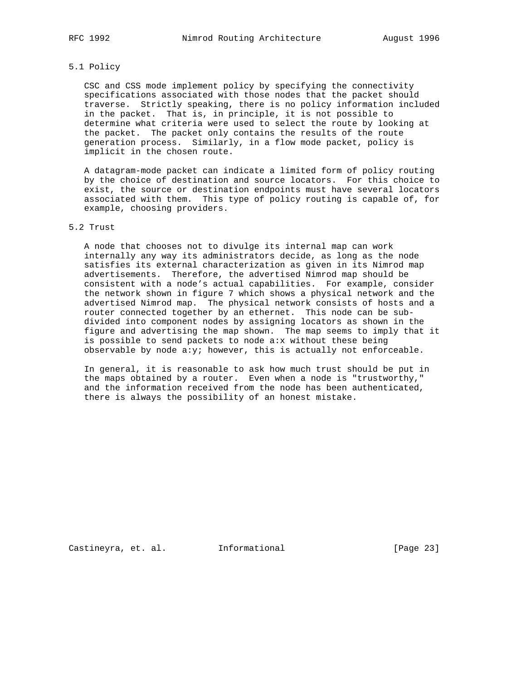## 5.1 Policy

 CSC and CSS mode implement policy by specifying the connectivity specifications associated with those nodes that the packet should traverse. Strictly speaking, there is no policy information included in the packet. That is, in principle, it is not possible to determine what criteria were used to select the route by looking at the packet. The packet only contains the results of the route generation process. Similarly, in a flow mode packet, policy is implicit in the chosen route.

 A datagram-mode packet can indicate a limited form of policy routing by the choice of destination and source locators. For this choice to exist, the source or destination endpoints must have several locators associated with them. This type of policy routing is capable of, for example, choosing providers.

# 5.2 Trust

 A node that chooses not to divulge its internal map can work internally any way its administrators decide, as long as the node satisfies its external characterization as given in its Nimrod map advertisements. Therefore, the advertised Nimrod map should be consistent with a node's actual capabilities. For example, consider the network shown in figure 7 which shows a physical network and the advertised Nimrod map. The physical network consists of hosts and a router connected together by an ethernet. This node can be sub divided into component nodes by assigning locators as shown in the figure and advertising the map shown. The map seems to imply that it is possible to send packets to node a:x without these being observable by node  $a:y$ ; however, this is actually not enforceable.

 In general, it is reasonable to ask how much trust should be put in the maps obtained by a router. Even when a node is "trustworthy," and the information received from the node has been authenticated, there is always the possibility of an honest mistake.

Castineyra, et. al. Informational [Page 23]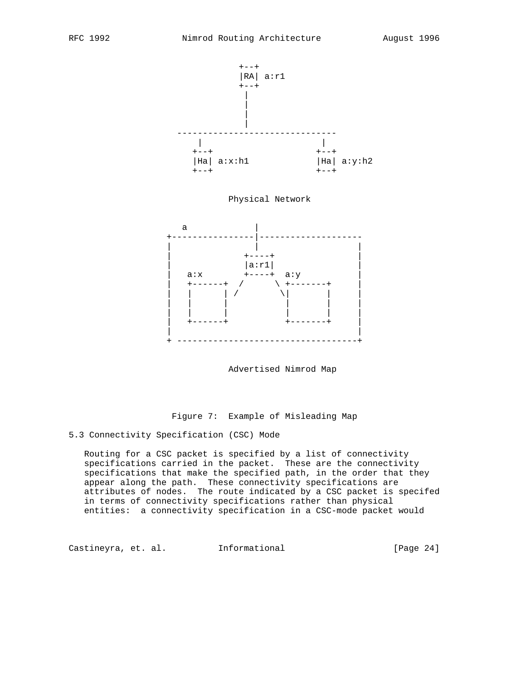

Advertised Nimrod Map

Figure 7: Example of Misleading Map

5.3 Connectivity Specification (CSC) Mode

 Routing for a CSC packet is specified by a list of connectivity specifications carried in the packet. These are the connectivity specifications that make the specified path, in the order that they appear along the path. These connectivity specifications are attributes of nodes. The route indicated by a CSC packet is specifed in terms of connectivity specifications rather than physical entities: a connectivity specification in a CSC-mode packet would

Castineyra, et. al. Informational [Page 24]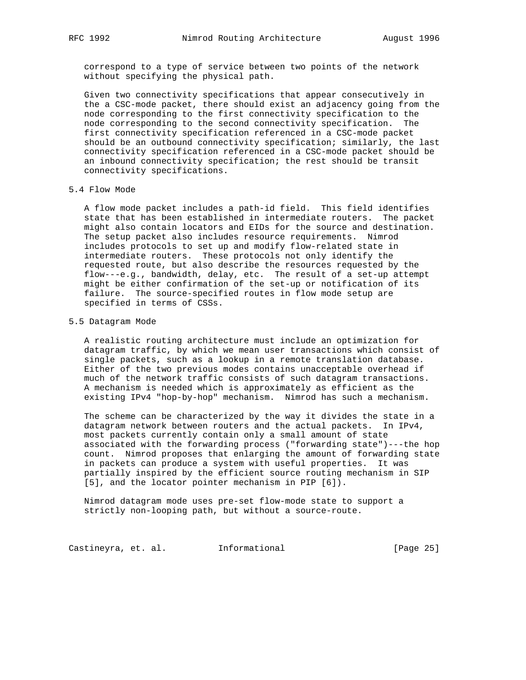correspond to a type of service between two points of the network without specifying the physical path.

 Given two connectivity specifications that appear consecutively in the a CSC-mode packet, there should exist an adjacency going from the node corresponding to the first connectivity specification to the node corresponding to the second connectivity specification. The first connectivity specification referenced in a CSC-mode packet should be an outbound connectivity specification; similarly, the last connectivity specification referenced in a CSC-mode packet should be an inbound connectivity specification; the rest should be transit connectivity specifications.

# 5.4 Flow Mode

 A flow mode packet includes a path-id field. This field identifies state that has been established in intermediate routers. The packet might also contain locators and EIDs for the source and destination. The setup packet also includes resource requirements. Nimrod includes protocols to set up and modify flow-related state in intermediate routers. These protocols not only identify the requested route, but also describe the resources requested by the flow---e.g., bandwidth, delay, etc. The result of a set-up attempt might be either confirmation of the set-up or notification of its failure. The source-specified routes in flow mode setup are specified in terms of CSSs.

## 5.5 Datagram Mode

 A realistic routing architecture must include an optimization for datagram traffic, by which we mean user transactions which consist of single packets, such as a lookup in a remote translation database. Either of the two previous modes contains unacceptable overhead if much of the network traffic consists of such datagram transactions. A mechanism is needed which is approximately as efficient as the existing IPv4 "hop-by-hop" mechanism. Nimrod has such a mechanism.

 The scheme can be characterized by the way it divides the state in a datagram network between routers and the actual packets. In IPv4, most packets currently contain only a small amount of state associated with the forwarding process ("forwarding state")---the hop count. Nimrod proposes that enlarging the amount of forwarding state in packets can produce a system with useful properties. It was partially inspired by the efficient source routing mechanism in SIP [5], and the locator pointer mechanism in PIP [6]).

 Nimrod datagram mode uses pre-set flow-mode state to support a strictly non-looping path, but without a source-route.

Castineyra, et. al. 1nformational 1999 [Page 25]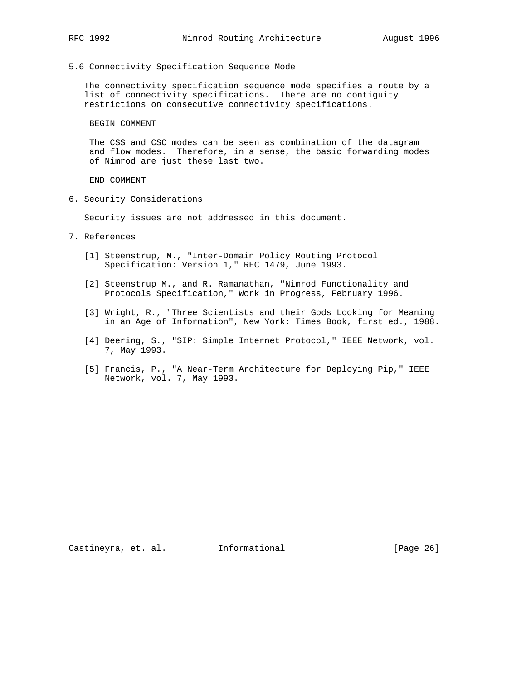5.6 Connectivity Specification Sequence Mode

 The connectivity specification sequence mode specifies a route by a list of connectivity specifications. There are no contiguity restrictions on consecutive connectivity specifications.

BEGIN COMMENT

 The CSS and CSC modes can be seen as combination of the datagram and flow modes. Therefore, in a sense, the basic forwarding modes of Nimrod are just these last two.

END COMMENT

6. Security Considerations

Security issues are not addressed in this document.

- 7. References
	- [1] Steenstrup, M., "Inter-Domain Policy Routing Protocol Specification: Version 1," RFC 1479, June 1993.
	- [2] Steenstrup M., and R. Ramanathan, "Nimrod Functionality and Protocols Specification," Work in Progress, February 1996.
	- [3] Wright, R., "Three Scientists and their Gods Looking for Meaning in an Age of Information", New York: Times Book, first ed., 1988.
	- [4] Deering, S., "SIP: Simple Internet Protocol," IEEE Network, vol. 7, May 1993.
	- [5] Francis, P., "A Near-Term Architecture for Deploying Pip," IEEE Network, vol. 7, May 1993.